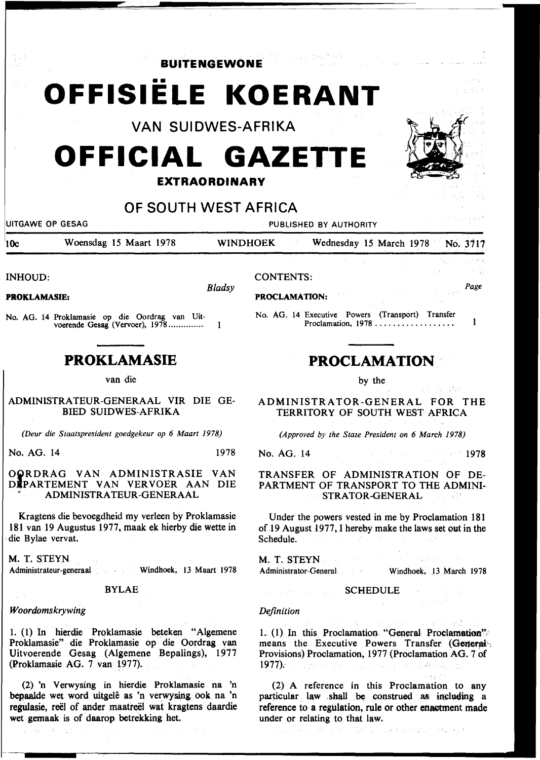**BUITENGEWONE** 

# •• **OFFISIELE KOERANT**

VAN SUIDWES-AFRIKA

# **OFFICIAL GAZETTE EXTRAORDINARY**

### OF SOUTH WEST AFRICA

UITGAWE OP GESAG PUBLISHED BY AUTHORITY

IOc Woensdag 15 Maart 1978 WINDHOEK Wednesday 15 March 1978 No. 3117

INHOUD:

*Bladsy* 

PROKLAMASIE:

No. AG. 14 Prok1amasie op die Oordrag van Uitvoerende Gesag (Vervoer}, 1978 ............. .  $\mathbf{1}$ 

## **PROKLAMASIE**

van die

ADMINISTRATEUR-GENERAAL VIR DIE GE-BIED SUIDWES-AFRIKA

*(Deur die Staatspresident goedgekeur op 6 Maart 1978)* 

No. AG. 14 1978

#### OQRDRAG VAN ADMINISTRASIE VAN DJPARTEMENT VAN VERVOER AAN DIE ADMINISTRA TEUR-GENERAAL

Kragtens die bevoegdheid my verleen by Proklamasie 181 van 19 Augustus 1977, maak ek hierby die wette in die Bylae vervat.

M. T. STEYN Administrateur-generaal Windhoek, 13 Maart 1978

#### BYLAE

#### *Woordomskrywing*

I. (I) In hierdie Proklamasie beteken "Algemene Proklamasie'' die Proklamasie op die Oordrag van Uitvoerende Gesag (Algemene Bepalings), 1977 (Proklamasie AG. 7 van 1977).

(2) 'n Verwysing in hierdie Proklamasie na 'n bepaalde wet word uitgele as 'n verwysing ook na 'n regulasie, reël of ander maatreël wat kragtens daardie wet gemaak is of daarop betrekking het.

#### CONTENTS:

PROCLAMATION:

No. AG. 14 Executive Powers (Transport) Transfer  $\mathbf{1}$ Proclamation, 1978 ..............•...

# **PROCLAMATION**

by the

ADMINISTRATOR-GENERAL FOR THE TERRITORY OF SOUTH WEST AFRICA

*(Approved by the State President on 6 March 1978)* 

No. AG. 14 1978

#### TRANSFER OF ADMINISTRATION OF DE-PARTMENT OF TRANSPORT TO THE ADMINI-STRATOR-GENERAL

Under the powers vested in me by Proclamation 181 of 19 August 1977, I hereby make the laws set out in the Schedule.

M. T. STEYN Administrator-General Windhoek, 13 March 1978

#### SCHEDULE COMPANY

#### *Definition*

1.. (I) In this Proclamation "General Proclamation", means the Executive Powers Transfer (General'·; Provisions) Proclamation, 1977 (Proclamation AG. 7 of 1977): The SAC many since the RSR

(2) A reference in this Proclamation to any particular law shall be construed as including a reference to a regulation, rule or other enactment made under or relating to that law.

they to keep specific trefs. The b



医血管膜

*Page*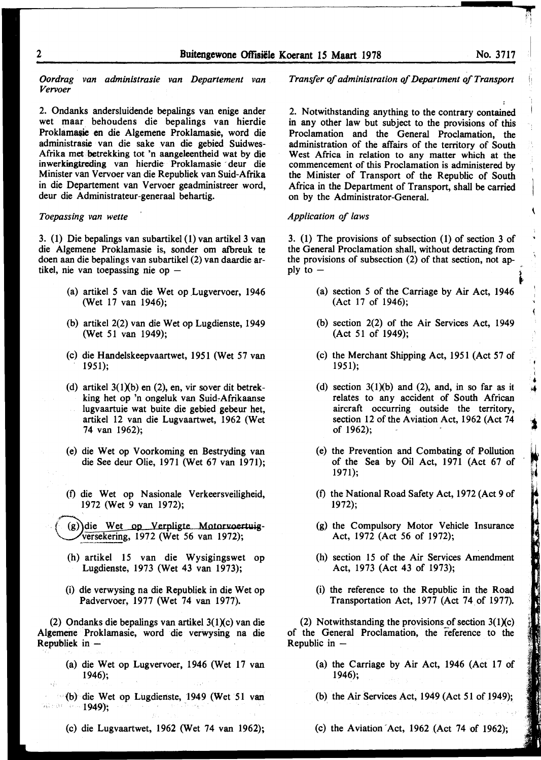*Oordrag van administrasie van Departement van Vervoer* 

2. Ondanks andersluidende bepalings van enige ander wet maar. behoudens die bepalings van hierdie Proklamasie en die Algemene Proklamasie, word die administrasie van die sake van die gebied Suidwes-Afrika met betrekking tot 'n aangeleentheid wat by die inwerkingtreding van hierdie Proklamasie deur die Minister van Vervoer van die Republiek van Suid-Afrika in die Departement van Vervoer geadministreer word, deur die Administrateur-generaal behartig.

#### *Toepassing van wette*

3. (1) Die bepalings van subartikel (1) van artikel 3 van die Algemene Proklamasie is, sonder om afbreuk te doen aan die bepalings van subartikel (2) van daardie artikel, nie van toepassing nie op  $-$ 

- (a) artikel 5 van die Wet op Lugvervoer, 1946 (Wet 17 van 1946);
- (b) artikel 2(2) van die Wet op Lugdienste, 1949 (Wet 51 van 1949);
- (c) die Handelskeepvaartwet, 1951 (Wet 57 van 1951);
- (d) artikel  $3(1)(b)$  en (2), en, vir sover dit betrekking het op 'n ongeluk van Suid~Afrikaanse lugvaartuie wat buite die gebied gebeur het, artikel 12 van die Lugvaartwet, 1962 (Wet 74 van 1962);
- (e) die Wet op Voorkoming en Bestryding van die See deur Olie, 1971 (Wet 67 van 1971);
- (f) die Wet op Nasionale Verkeersveiligheid, 1972 (Wet 9 van 1972);
- (g)) die Wet op Verpligte Motorvoertuig-~~.!:~ekering, 1972 (Wet 56 van 1972);
	- (h) artikel 15 van die Wysigingswet op Lugdienste, 1973 (Wet 43 van 1973);
	- (i) die verwysing na die Republiek in die Wet op Padvervoer, 1977 (Wet 74 van 1977).

(2) Ondanks die bepalings van artikel  $3(1)(c)$  van die Algemene Proklamasie, word die verwysing na die Republiek in  $-$ 

- (a) die Wet op Lugvervoer, 1946 (Wet 17 van 1946);
- (b) die Wet op Lugdienste, 1949 (Wet 51 van where  $(1949)$ ;
	- (c) die Lugvaartwet, 1962 (Wet 74 van 1962);

*Transfer of administration of Department of Transport* 

2. Notwithstanding anything to the contrary contained in any other law but subject to the provisions of this Proclamation and the General Proclamation, the administration of the affairs of the territory of South West Africa in relation to any matter which at the commencement of this Proclamation is administered by the Minister of Transport of the Republic of South Africa in the Department of Transport, shall be carried on by the Administrator-General.

#### *Application of laws*

3. (1) The provisions of subsection (1) of section 3 of the General Proclamation shall, without detracting from the provisions of subsection (2) of that section, not apply to  $-$ 

- (a) section *5* of the Carriage by Air Act, 1946 (Act 17 of 1946);
- (b) section 2(2) of the Air Services Act, 1949 (Act 51 of 1949);
- (c) the Merchant Shipping Act, 1951 (Act 57 of 1951);
- (d) section  $3(1)(b)$  and (2), and, in so far as it relates to any accident of South African aircraft occurring outside the territory, section 12 of the Aviation Act, 1962 (Act 74 of 1962);
- (e) the Prevention and Combating of Pollution of the Sea by Oil Act, 1971 (Act 67 of 1971);
- (f) the National Road Safety Act, 1972 (Act 9 of 1972);
- (g) the Compulsory Motor Vehicle Insurance Act, 1972 (Act 56 of 1972);
- (h) section 15 of the Air Services Amendment Act, 1973 (Act 43 of 1973);
- (i) the reference to the Republic in the Road Transportation Act, 1977 (Act 74 of 1977).

(2) Notwithstanding the provisions of section  $3(1)(c)$ of the General Proclamation, the reference to the Republic in  $-$ 

- (a) the Carriage by Air Act, 1946 (Act 17 of 1946);
- (b) the Air Services Act, 1949 (Act 51 of 1949);
- (c) the Aviation -Act, 1962 (Act 74 of 1962);

 $\sum_{i=1}^{n}$ 

,. •

light the control of the control of the control of the control of the control of the control of the control of